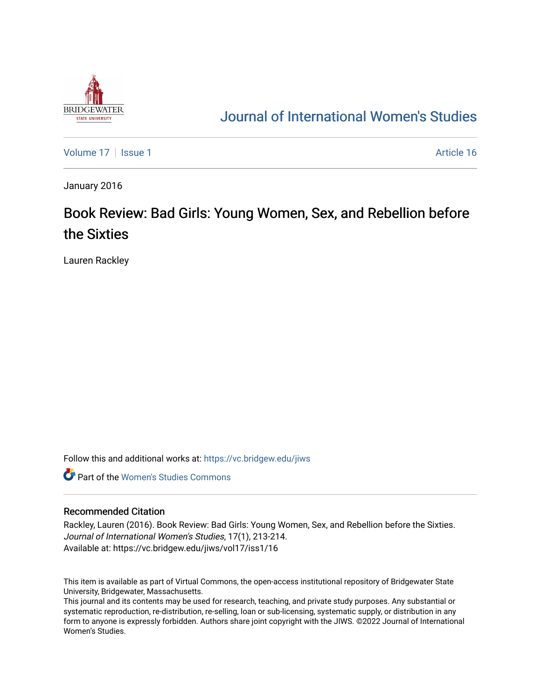

## [Journal of International Women's Studies](https://vc.bridgew.edu/jiws)

[Volume 17](https://vc.bridgew.edu/jiws/vol17) | [Issue 1](https://vc.bridgew.edu/jiws/vol17/iss1) Article 16

January 2016

# Book Review: Bad Girls: Young Women, Sex, and Rebellion before the Sixties

Lauren Rackley

Follow this and additional works at: [https://vc.bridgew.edu/jiws](https://vc.bridgew.edu/jiws?utm_source=vc.bridgew.edu%2Fjiws%2Fvol17%2Fiss1%2F16&utm_medium=PDF&utm_campaign=PDFCoverPages)

**C** Part of the Women's Studies Commons

### Recommended Citation

Rackley, Lauren (2016). Book Review: Bad Girls: Young Women, Sex, and Rebellion before the Sixties. Journal of International Women's Studies, 17(1), 213-214. Available at: https://vc.bridgew.edu/jiws/vol17/iss1/16

This item is available as part of Virtual Commons, the open-access institutional repository of Bridgewater State University, Bridgewater, Massachusetts.

This journal and its contents may be used for research, teaching, and private study purposes. Any substantial or systematic reproduction, re-distribution, re-selling, loan or sub-licensing, systematic supply, or distribution in any form to anyone is expressly forbidden. Authors share joint copyright with the JIWS. ©2022 Journal of International Women's Studies.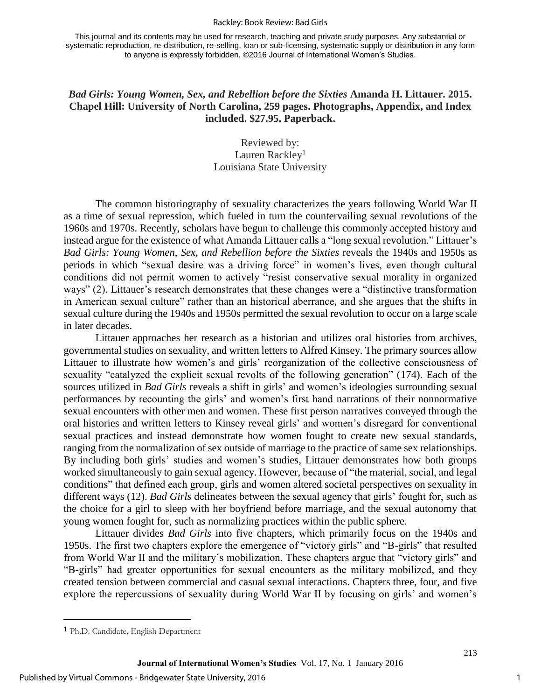#### Rackley: Book Review: Bad Girls

This journal and its contents may be used for research, teaching and private study purposes. Any substantial or systematic reproduction, re-distribution, re-selling, loan or sub-licensing, systematic supply or distribution in any form to anyone is expressly forbidden. ©2016 Journal of International Women's Studies.

## *Bad Girls: Young Women, Sex, and Rebellion before the Sixties* **Amanda H. Littauer. 2015. Chapel Hill: University of North Carolina, 259 pages. Photographs, Appendix, and Index included. \$27.95. Paperback.**

## Reviewed by: Lauren Rackley<sup>1</sup> Louisiana State University

 The common historiography of sexuality characterizes the years following World War II as a time of sexual repression, which fueled in turn the countervailing sexual revolutions of the 1960s and 1970s. Recently, scholars have begun to challenge this commonly accepted history and instead argue for the existence of what Amanda Littauer calls a "long sexual revolution." Littauer's *Bad Girls: Young Women, Sex, and Rebellion before the Sixties* reveals the 1940s and 1950s as periods in which "sexual desire was a driving force" in women's lives, even though cultural conditions did not permit women to actively "resist conservative sexual morality in organized ways" (2). Littauer's research demonstrates that these changes were a "distinctive transformation in American sexual culture" rather than an historical aberrance, and she argues that the shifts in sexual culture during the 1940s and 1950s permitted the sexual revolution to occur on a large scale in later decades.

 Littauer approaches her research as a historian and utilizes oral histories from archives, governmental studies on sexuality, and written letters to Alfred Kinsey. The primary sources allow Littauer to illustrate how women's and girls' reorganization of the collective consciousness of sexuality "catalyzed the explicit sexual revolts of the following generation" (174). Each of the sources utilized in *Bad Girls* reveals a shift in girls' and women's ideologies surrounding sexual performances by recounting the girls' and women's first hand narrations of their nonnormative sexual encounters with other men and women. These first person narratives conveyed through the oral histories and written letters to Kinsey reveal girls' and women's disregard for conventional sexual practices and instead demonstrate how women fought to create new sexual standards, ranging from the normalization of sex outside of marriage to the practice of same sex relationships. By including both girls' studies and women's studies, Littauer demonstrates how both groups worked simultaneously to gain sexual agency. However, because of "the material, social, and legal conditions" that defined each group, girls and women altered societal perspectives on sexuality in different ways (12). *Bad Girls* delineates between the sexual agency that girls' fought for, such as the choice for a girl to sleep with her boyfriend before marriage, and the sexual autonomy that young women fought for, such as normalizing practices within the public sphere.

 Littauer divides *Bad Girls* into five chapters, which primarily focus on the 1940s and 1950s. The first two chapters explore the emergence of "victory girls" and "B-girls" that resulted from World War II and the military's mobilization. These chapters argue that "victory girls" and "B-girls" had greater opportunities for sexual encounters as the military mobilized, and they created tension between commercial and casual sexual interactions. Chapters three, four, and five explore the repercussions of sexuality during World War II by focusing on girls' and women's

l

1

<sup>1</sup> Ph.D. Candidate, English Department